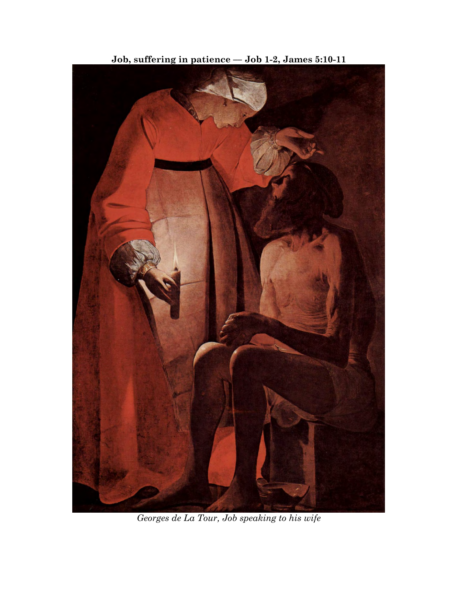

**Job, suffering in patience –– Job 1-2, James 5:10-11**

*Georges de La Tour, Job speaking to his wife*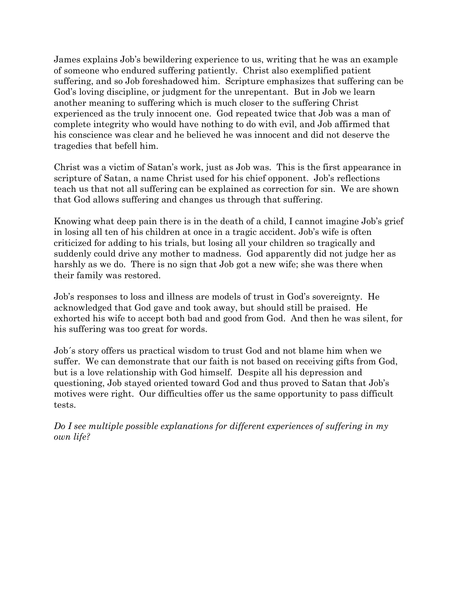James explains Job's bewildering experience to us, writing that he was an example of someone who endured suffering patiently. Christ also exemplified patient suffering, and so Job foreshadowed him. Scripture emphasizes that suffering can be God's loving discipline, or judgment for the unrepentant. But in Job we learn another meaning to suffering which is much closer to the suffering Christ experienced as the truly innocent one. God repeated twice that Job was a man of complete integrity who would have nothing to do with evil, and Job affirmed that his conscience was clear and he believed he was innocent and did not deserve the tragedies that befell him.

Christ was a victim of Satan's work, just as Job was. This is the first appearance in scripture of Satan, a name Christ used for his chief opponent. Job's reflections teach us that not all suffering can be explained as correction for sin. We are shown that God allows suffering and changes us through that suffering.

Knowing what deep pain there is in the death of a child, I cannot imagine Job's grief in losing all ten of his children at once in a tragic accident. Job's wife is often criticized for adding to his trials, but losing all your children so tragically and suddenly could drive any mother to madness. God apparently did not judge her as harshly as we do. There is no sign that Job got a new wife; she was there when their family was restored.

Job's responses to loss and illness are models of trust in God's sovereignty. He acknowledged that God gave and took away, but should still be praised. He exhorted his wife to accept both bad and good from God. And then he was silent, for his suffering was too great for words.

Job´s story offers us practical wisdom to trust God and not blame him when we suffer. We can demonstrate that our faith is not based on receiving gifts from God, but is a love relationship with God himself. Despite all his depression and questioning, Job stayed oriented toward God and thus proved to Satan that Job's motives were right. Our difficulties offer us the same opportunity to pass difficult tests.

*Do I see multiple possible explanations for different experiences of suffering in my own life?*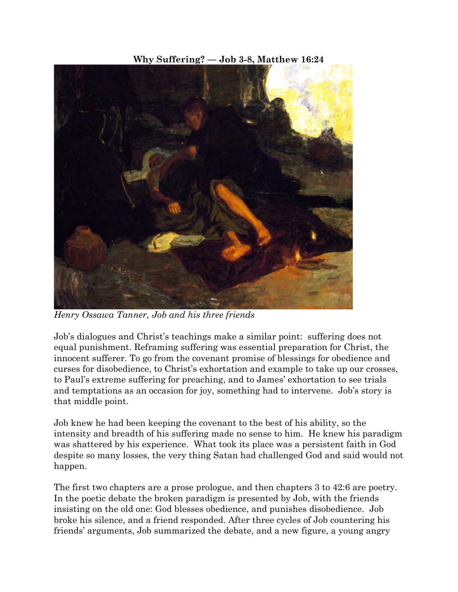**Why Suffering? –– Job 3-8, Matthew 16:24**



*Henry Ossawa Tanner, Job and his three friends*

Job's dialogues and Christ's teachings make a similar point: suffering does not equal punishment. Reframing suffering was essential preparation for Christ, the innocent sufferer. To go from the covenant promise of blessings for obedience and curses for disobedience, to Christ's exhortation and example to take up our crosses, to Paul's extreme suffering for preaching, and to James' exhortation to see trials and temptations as an occasion for joy, something had to intervene. Job's story is that middle point.

Job knew he had been keeping the covenant to the best of his ability, so the intensity and breadth of his suffering made no sense to him. He knew his paradigm was shattered by his experience. What took its place was a persistent faith in God despite so many losses, the very thing Satan had challenged God and said would not happen.

The first two chapters are a prose prologue, and then chapters 3 to 42:6 are poetry. In the poetic debate the broken paradigm is presented by Job, with the friends insisting on the old one: God blesses obedience, and punishes disobedience. Job broke his silence, and a friend responded. After three cycles of Job countering his friends' arguments, Job summarized the debate, and a new figure, a young angry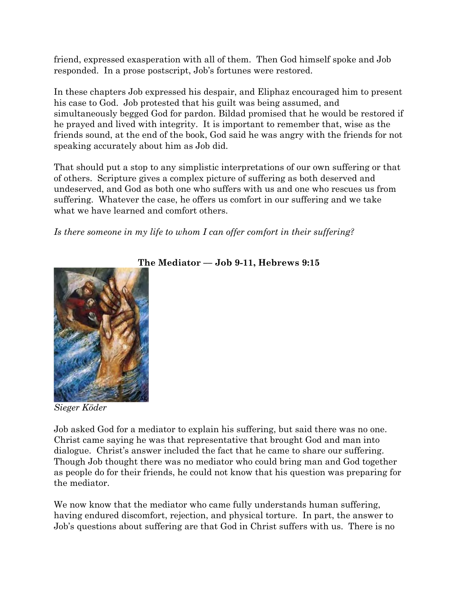friend, expressed exasperation with all of them. Then God himself spoke and Job responded. In a prose postscript, Job's fortunes were restored.

In these chapters Job expressed his despair, and Eliphaz encouraged him to present his case to God. Job protested that his guilt was being assumed, and simultaneously begged God for pardon. Bildad promised that he would be restored if he prayed and lived with integrity. It is important to remember that, wise as the friends sound, at the end of the book, God said he was angry with the friends for not speaking accurately about him as Job did.

That should put a stop to any simplistic interpretations of our own suffering or that of others. Scripture gives a complex picture of suffering as both deserved and undeserved, and God as both one who suffers with us and one who rescues us from suffering. Whatever the case, he offers us comfort in our suffering and we take what we have learned and comfort others.

*Is there someone in my life to whom I can offer comfort in their suffering?*



## **The Mediator –– Job 9-11, Hebrews 9:15**

*Sieger Köder*

Job asked God for a mediator to explain his suffering, but said there was no one. Christ came saying he was that representative that brought God and man into dialogue. Christ's answer included the fact that he came to share our suffering. Though Job thought there was no mediator who could bring man and God together as people do for their friends, he could not know that his question was preparing for the mediator.

We now know that the mediator who came fully understands human suffering, having endured discomfort, rejection, and physical torture. In part, the answer to Job's questions about suffering are that God in Christ suffers with us. There is no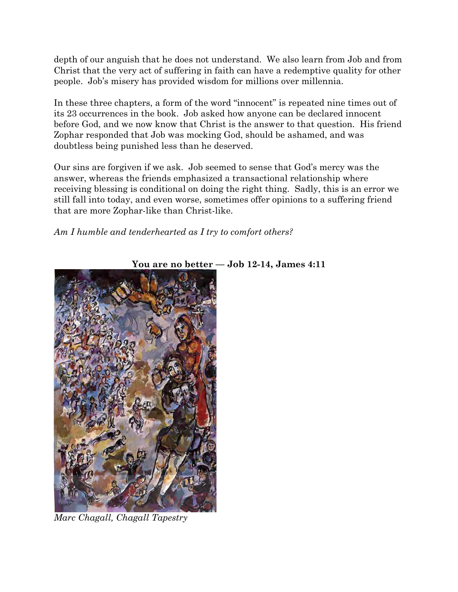depth of our anguish that he does not understand. We also learn from Job and from Christ that the very act of suffering in faith can have a redemptive quality for other people. Job's misery has provided wisdom for millions over millennia.

In these three chapters, a form of the word "innocent" is repeated nine times out of its 23 occurrences in the book. Job asked how anyone can be declared innocent before God, and we now know that Christ is the answer to that question. His friend Zophar responded that Job was mocking God, should be ashamed, and was doubtless being punished less than he deserved.

Our sins are forgiven if we ask. Job seemed to sense that God's mercy was the answer, whereas the friends emphasized a transactional relationship where receiving blessing is conditional on doing the right thing. Sadly, this is an error we still fall into today, and even worse, sometimes offer opinions to a suffering friend that are more Zophar-like than Christ-like.

## *Am I humble and tenderhearted as I try to comfort others?*



**You are no better –– Job 12-14, James 4:11**

*Marc Chagall, Chagall Tapestry*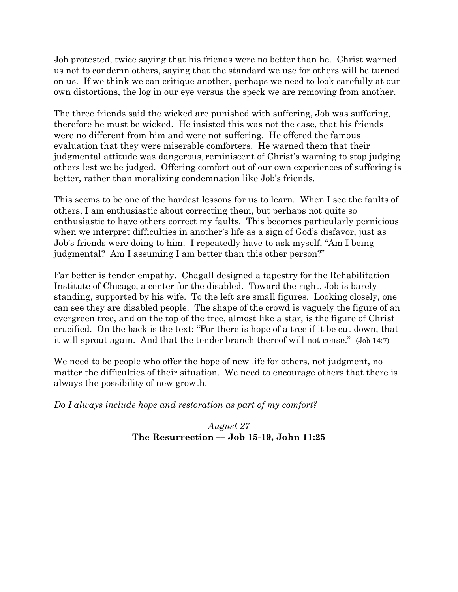Job protested, twice saying that his friends were no better than he. Christ warned us not to condemn others, saying that the standard we use for others will be turned on us. If we think we can critique another, perhaps we need to look carefully at our own distortions, the log in our eye versus the speck we are removing from another.

The three friends said the wicked are punished with suffering, Job was suffering, therefore he must be wicked. He insisted this was not the case, that his friends were no different from him and were not suffering. He offered the famous evaluation that they were miserable comforters. He warned them that their judgmental attitude was dangerous, reminiscent of Christ's warning to stop judging others lest we be judged. Offering comfort out of our own experiences of suffering is better, rather than moralizing condemnation like Job's friends.

This seems to be one of the hardest lessons for us to learn. When I see the faults of others, I am enthusiastic about correcting them, but perhaps not quite so enthusiastic to have others correct my faults. This becomes particularly pernicious when we interpret difficulties in another's life as a sign of God's disfavor, just as Job's friends were doing to him. I repeatedly have to ask myself, "Am I being judgmental? Am I assuming I am better than this other person?"

Far better is tender empathy. Chagall designed a tapestry for the Rehabilitation Institute of Chicago, a center for the disabled. Toward the right, Job is barely standing, supported by his wife. To the left are small figures. Looking closely, one can see they are disabled people. The shape of the crowd is vaguely the figure of an evergreen tree, and on the top of the tree, almost like a star, is the figure of Christ crucified. On the back is the text: "For there is hope of a tree if it be cut down, that it will sprout again. And that the tender branch thereof will not cease." (Job 14:7)

We need to be people who offer the hope of new life for others, not judgment, no matter the difficulties of their situation. We need to encourage others that there is always the possibility of new growth.

*Do I always include hope and restoration as part of my comfort?*

## *August 27* **The Resurrection –– Job 15-19, John 11:25**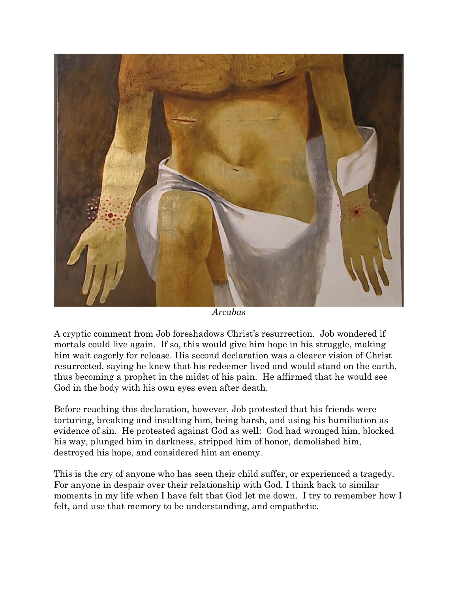

*Arcabas*

A cryptic comment from Job foreshadows Christ's resurrection. Job wondered if mortals could live again. If so, this would give him hope in his struggle, making him wait eagerly for release. His second declaration was a clearer vision of Christ resurrected, saying he knew that his redeemer lived and would stand on the earth, thus becoming a prophet in the midst of his pain. He affirmed that he would see God in the body with his own eyes even after death.

Before reaching this declaration, however, Job protested that his friends were torturing, breaking and insulting him, being harsh, and using his humiliation as evidence of sin. He protested against God as well: God had wronged him, blocked his way, plunged him in darkness, stripped him of honor, demolished him, destroyed his hope, and considered him an enemy.

This is the cry of anyone who has seen their child suffer, or experienced a tragedy. For anyone in despair over their relationship with God, I think back to similar moments in my life when I have felt that God let me down. I try to remember how I felt, and use that memory to be understanding, and empathetic.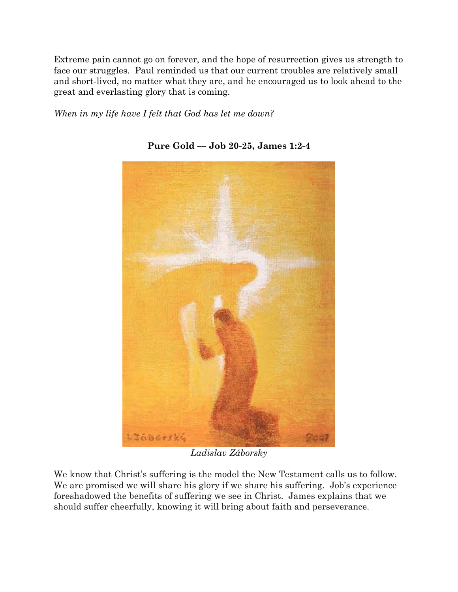Extreme pain cannot go on forever, and the hope of resurrection gives us strength to face our struggles. Paul reminded us that our current troubles are relatively small and short-lived, no matter what they are, and he encouraged us to look ahead to the great and everlasting glory that is coming.

*When in my life have I felt that God has let me down?*



**Pure Gold –– Job 20-25, James 1:2-4** 

*Ladislav Záborsky*

We know that Christ's suffering is the model the New Testament calls us to follow. We are promised we will share his glory if we share his suffering. Job's experience foreshadowed the benefits of suffering we see in Christ. James explains that we should suffer cheerfully, knowing it will bring about faith and perseverance.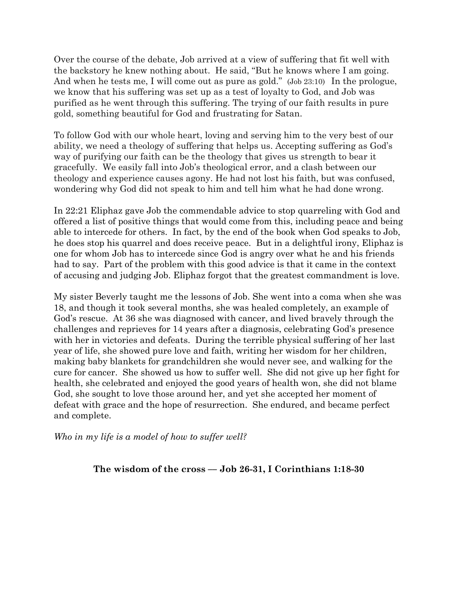Over the course of the debate, Job arrived at a view of suffering that fit well with the backstory he knew nothing about. He said, "But he knows where I am going. And when he tests me, I will come out as pure as gold." (Job 23:10) In the prologue, we know that his suffering was set up as a test of loyalty to God, and Job was purified as he went through this suffering. The trying of our faith results in pure gold, something beautiful for God and frustrating for Satan.

To follow God with our whole heart, loving and serving him to the very best of our ability, we need a theology of suffering that helps us. Accepting suffering as God's way of purifying our faith can be the theology that gives us strength to bear it gracefully. We easily fall into Job's theological error, and a clash between our theology and experience causes agony. He had not lost his faith, but was confused, wondering why God did not speak to him and tell him what he had done wrong.

In 22:21 Eliphaz gave Job the commendable advice to stop quarreling with God and offered a list of positive things that would come from this, including peace and being able to intercede for others. In fact, by the end of the book when God speaks to Job, he does stop his quarrel and does receive peace. But in a delightful irony, Eliphaz is one for whom Job has to intercede since God is angry over what he and his friends had to say. Part of the problem with this good advice is that it came in the context of accusing and judging Job. Eliphaz forgot that the greatest commandment is love.

My sister Beverly taught me the lessons of Job. She went into a coma when she was 18, and though it took several months, she was healed completely, an example of God's rescue. At 36 she was diagnosed with cancer, and lived bravely through the challenges and reprieves for 14 years after a diagnosis, celebrating God's presence with her in victories and defeats. During the terrible physical suffering of her last year of life, she showed pure love and faith, writing her wisdom for her children, making baby blankets for grandchildren she would never see, and walking for the cure for cancer. She showed us how to suffer well. She did not give up her fight for health, she celebrated and enjoyed the good years of health won, she did not blame God, she sought to love those around her, and yet she accepted her moment of defeat with grace and the hope of resurrection. She endured, and became perfect and complete.

*Who in my life is a model of how to suffer well?*

**The wisdom of the cross –– Job 26-31, I Corinthians 1:18-30**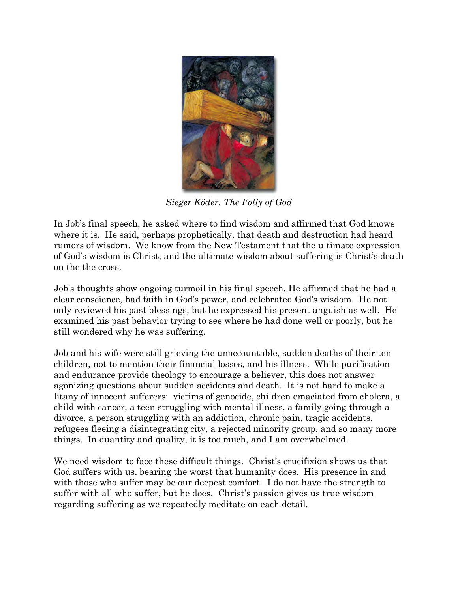

*Sieger Köder, The Folly of God*

In Job's final speech, he asked where to find wisdom and affirmed that God knows where it is. He said, perhaps prophetically, that death and destruction had heard rumors of wisdom. We know from the New Testament that the ultimate expression of God's wisdom is Christ, and the ultimate wisdom about suffering is Christ's death on the the cross.

Job's thoughts show ongoing turmoil in his final speech. He affirmed that he had a clear conscience, had faith in God's power, and celebrated God's wisdom. He not only reviewed his past blessings, but he expressed his present anguish as well. He examined his past behavior trying to see where he had done well or poorly, but he still wondered why he was suffering.

Job and his wife were still grieving the unaccountable, sudden deaths of their ten children, not to mention their financial losses, and his illness. While purification and endurance provide theology to encourage a believer, this does not answer agonizing questions about sudden accidents and death. It is not hard to make a litany of innocent sufferers: victims of genocide, children emaciated from cholera, a child with cancer, a teen struggling with mental illness, a family going through a divorce, a person struggling with an addiction, chronic pain, tragic accidents, refugees fleeing a disintegrating city, a rejected minority group, and so many more things. In quantity and quality, it is too much, and I am overwhelmed.

We need wisdom to face these difficult things. Christ's crucifixion shows us that God suffers with us, bearing the worst that humanity does. His presence in and with those who suffer may be our deepest comfort. I do not have the strength to suffer with all who suffer, but he does. Christ's passion gives us true wisdom regarding suffering as we repeatedly meditate on each detail.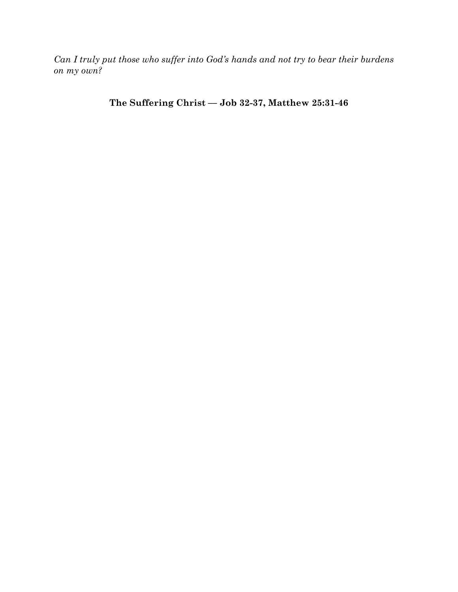*Can I truly put those who suffer into God's hands and not try to bear their burdens on my own?*

**The Suffering Christ –– Job 32-37, Matthew 25:31-46**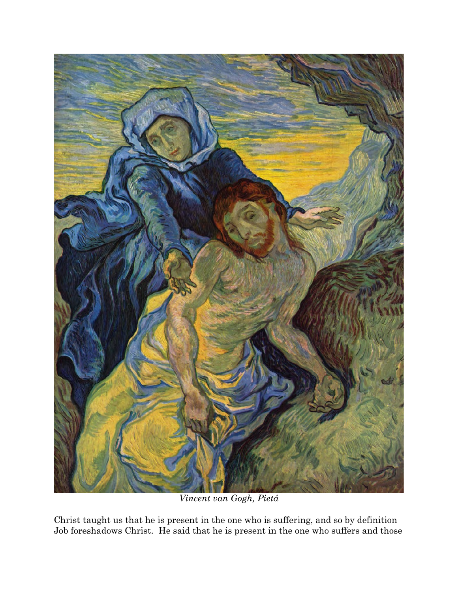

*Vincent van Gogh, Pietá*

Christ taught us that he is present in the one who is suffering, and so by definition Job foreshadows Christ. He said that he is present in the one who suffers and those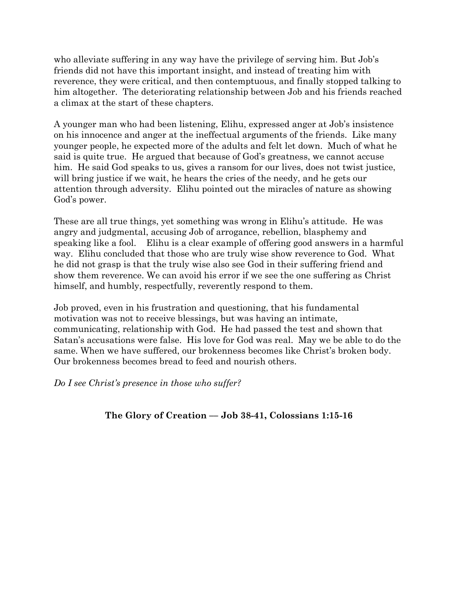who alleviate suffering in any way have the privilege of serving him. But Job's friends did not have this important insight, and instead of treating him with reverence, they were critical, and then contemptuous, and finally stopped talking to him altogether. The deteriorating relationship between Job and his friends reached a climax at the start of these chapters.

A younger man who had been listening, Elihu, expressed anger at Job's insistence on his innocence and anger at the ineffectual arguments of the friends. Like many younger people, he expected more of the adults and felt let down. Much of what he said is quite true. He argued that because of God's greatness, we cannot accuse him. He said God speaks to us, gives a ransom for our lives, does not twist justice, will bring justice if we wait, he hears the cries of the needy, and he gets our attention through adversity. Elihu pointed out the miracles of nature as showing God's power.

These are all true things, yet something was wrong in Elihu's attitude. He was angry and judgmental, accusing Job of arrogance, rebellion, blasphemy and speaking like a fool. Elihu is a clear example of offering good answers in a harmful way. Elihu concluded that those who are truly wise show reverence to God. What he did not grasp is that the truly wise also see God in their suffering friend and show them reverence. We can avoid his error if we see the one suffering as Christ himself, and humbly, respectfully, reverently respond to them.

Job proved, even in his frustration and questioning, that his fundamental motivation was not to receive blessings, but was having an intimate, communicating, relationship with God. He had passed the test and shown that Satan's accusations were false. His love for God was real. May we be able to do the same. When we have suffered, our brokenness becomes like Christ's broken body. Our brokenness becomes bread to feed and nourish others.

*Do I see Christ's presence in those who suffer?*

**The Glory of Creation –– Job 38-41, Colossians 1:15-16**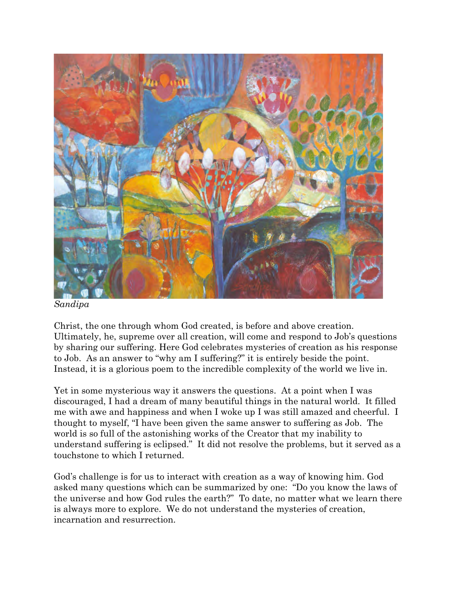

*Sandipa*

Christ, the one through whom God created, is before and above creation. Ultimately, he, supreme over all creation, will come and respond to Job's questions by sharing our suffering. Here God celebrates mysteries of creation as his response to Job. As an answer to "why am I suffering?" it is entirely beside the point. Instead, it is a glorious poem to the incredible complexity of the world we live in.

Yet in some mysterious way it answers the questions. At a point when I was discouraged, I had a dream of many beautiful things in the natural world. It filled me with awe and happiness and when I woke up I was still amazed and cheerful. I thought to myself, "I have been given the same answer to suffering as Job. The world is so full of the astonishing works of the Creator that my inability to understand suffering is eclipsed." It did not resolve the problems, but it served as a touchstone to which I returned.

God's challenge is for us to interact with creation as a way of knowing him. God asked many questions which can be summarized by one: "Do you know the laws of the universe and how God rules the earth?" To date, no matter what we learn there is always more to explore. We do not understand the mysteries of creation, incarnation and resurrection.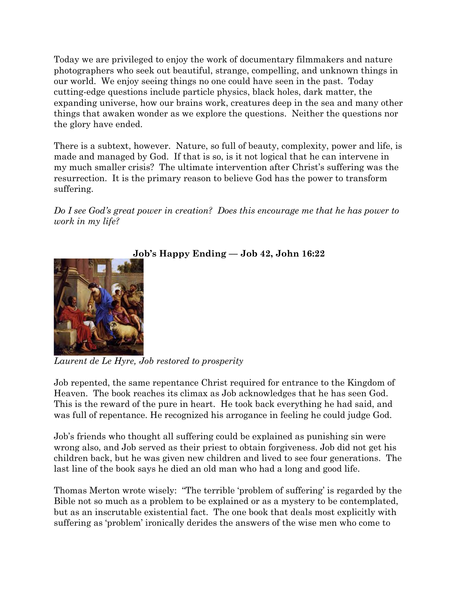Today we are privileged to enjoy the work of documentary filmmakers and nature photographers who seek out beautiful, strange, compelling, and unknown things in our world. We enjoy seeing things no one could have seen in the past. Today cutting-edge questions include particle physics, black holes, dark matter, the expanding universe, how our brains work, creatures deep in the sea and many other things that awaken wonder as we explore the questions. Neither the questions nor the glory have ended.

There is a subtext, however. Nature, so full of beauty, complexity, power and life, is made and managed by God. If that is so, is it not logical that he can intervene in my much smaller crisis? The ultimate intervention after Christ's suffering was the resurrection. It is the primary reason to believe God has the power to transform suffering.

*Do I see God's great power in creation? Does this encourage me that he has power to work in my life?*



**Job's Happy Ending –– Job 42, John 16:22**

*Laurent de Le Hyre, Job restored to prosperity*

Job repented, the same repentance Christ required for entrance to the Kingdom of Heaven. The book reaches its climax as Job acknowledges that he has seen God. This is the reward of the pure in heart. He took back everything he had said, and was full of repentance. He recognized his arrogance in feeling he could judge God.

Job's friends who thought all suffering could be explained as punishing sin were wrong also, and Job served as their priest to obtain forgiveness. Job did not get his children back, but he was given new children and lived to see four generations. The last line of the book says he died an old man who had a long and good life.

Thomas Merton wrote wisely: "The terrible 'problem of suffering' is regarded by the Bible not so much as a problem to be explained or as a mystery to be contemplated, but as an inscrutable existential fact. The one book that deals most explicitly with suffering as 'problem' ironically derides the answers of the wise men who come to